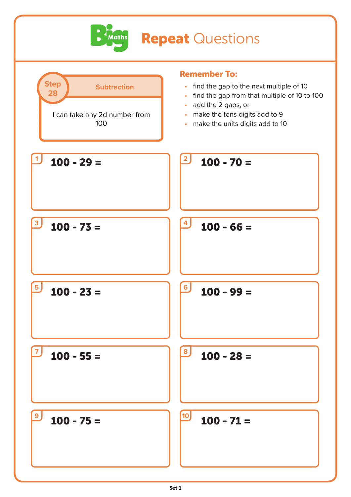

## **Repeat Questions**

| <b>Step</b><br><b>Subtraction</b><br>28<br>I can take any 2d number from<br>100 | <b>Remember To:</b><br>find the gap to the next multiple of 10<br>$\bullet$<br>find the gap from that multiple of 10 to 100<br>$\bullet$<br>add the 2 gaps, or<br>$\bullet$<br>make the tens digits add to 9<br>$\bullet$<br>make the units digits add to 10<br>$\bullet$ |
|---------------------------------------------------------------------------------|---------------------------------------------------------------------------------------------------------------------------------------------------------------------------------------------------------------------------------------------------------------------------|
| $100 - 29 =$                                                                    | $\overline{2}$<br>$100 - 70 =$                                                                                                                                                                                                                                            |
| $100 - 73 =$                                                                    | 4<br>$100 - 66 =$                                                                                                                                                                                                                                                         |
| $100 - 23 =$                                                                    | 6 <sub>1</sub><br>$100 - 99 =$                                                                                                                                                                                                                                            |
| $100 - 55 =$                                                                    | 8<br>$100 - 28 =$                                                                                                                                                                                                                                                         |
| $100 - 75 =$                                                                    | <b>10</b><br>$100 - 71 =$                                                                                                                                                                                                                                                 |